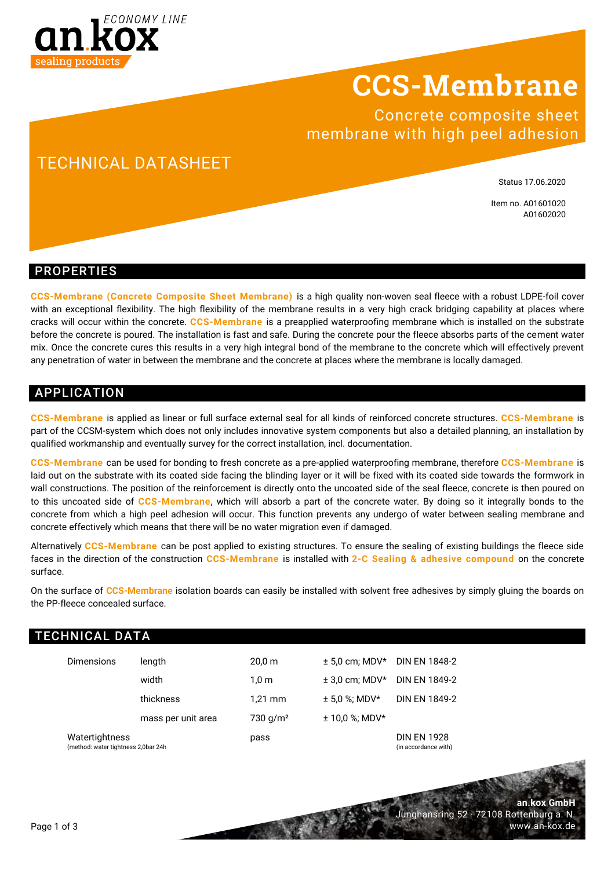

## **CCS-Membrane**

Concrete composite sheet membrane with high peel adhesion

## TECHNICAL DATASHEET

Status 17.06.2020

Item no. A01601020 A01602020

**an.kox GmbH**

www.an-kox.de

Junghansring 52 · 72108 Rottenburg a. N.

#### PROPERTIES

**CCS-Membrane (Concrete Composite Sheet Membrane)** is a high quality non-woven seal fleece with a robust LDPE-foil cover with an exceptional flexibility. The high flexibility of the membrane results in a very high crack bridging capability at places where cracks will occur within the concrete. **CCS-Membrane** is a preapplied waterproofing membrane which is installed on the substrate before the concrete is poured. The installation is fast and safe. During the concrete pour the fleece absorbs parts of the cement water mix. Once the concrete cures this results in a very high integral bond of the membrane to the concrete which will effectively prevent any penetration of water in between the membrane and the concrete at places where the membrane is locally damaged.

### APPLICATION

**CCS-Membrane** is applied as linear or full surface external seal for all kinds of reinforced concrete structures. **CCS-Membrane** is part of the CCSM-system which does not only includes innovative system components but also a detailed planning, an installation by qualified workmanship and eventually survey for the correct installation, incl. documentation.

**CCS-Membrane** can be used for bonding to fresh concrete as a pre-applied waterproofing membrane, therefore **CCS-Membrane** is laid out on the substrate with its coated side facing the blinding layer or it will be fixed with its coated side towards the formwork in wall constructions. The position of the reinforcement is directly onto the uncoated side of the seal fleece, concrete is then poured on to this uncoated side of **CCS-Membrane**, which will absorb a part of the concrete water. By doing so it integrally bonds to the concrete from which a high peel adhesion will occur. This function prevents any undergo of water between sealing membrane and concrete effectively which means that there will be no water migration even if damaged.

Alternatively **CCS-Membrane** can be post applied to existing structures. To ensure the sealing of existing buildings the fleece side faces in the direction of the construction **CCS-Membrane** is installed with **2-C Sealing & adhesive compound** on the concrete surface.

On the surface of **CCS-Membrane** isolation boards can easily be installed with solvent free adhesives by simply gluing the boards on the PP-fleece concealed surface.

| <b>TECHNICAL DATA</b>                                  |                    |                      |                  |                                            |  |  |
|--------------------------------------------------------|--------------------|----------------------|------------------|--------------------------------------------|--|--|
| <b>Dimensions</b>                                      | length             | $20,0 \; \text{m}$   | $± 5.0$ cm: MDV* | <b>DIN EN 1848-2</b>                       |  |  |
|                                                        | width              | $1.0 \text{ m}$      | $± 3.0$ cm: MDV* | <b>DIN EN 1849-2</b>                       |  |  |
|                                                        | thickness          | $1.21$ mm            | $± 5.0$ %; MDV*  | <b>DIN EN 1849-2</b>                       |  |  |
|                                                        | mass per unit area | 730 g/m <sup>2</sup> | $± 10.0$ %; MDV* |                                            |  |  |
| Watertightness<br>(method: water tightness 2,0bar 24h) |                    | pass                 |                  | <b>DIN EN 1928</b><br>(in accordance with) |  |  |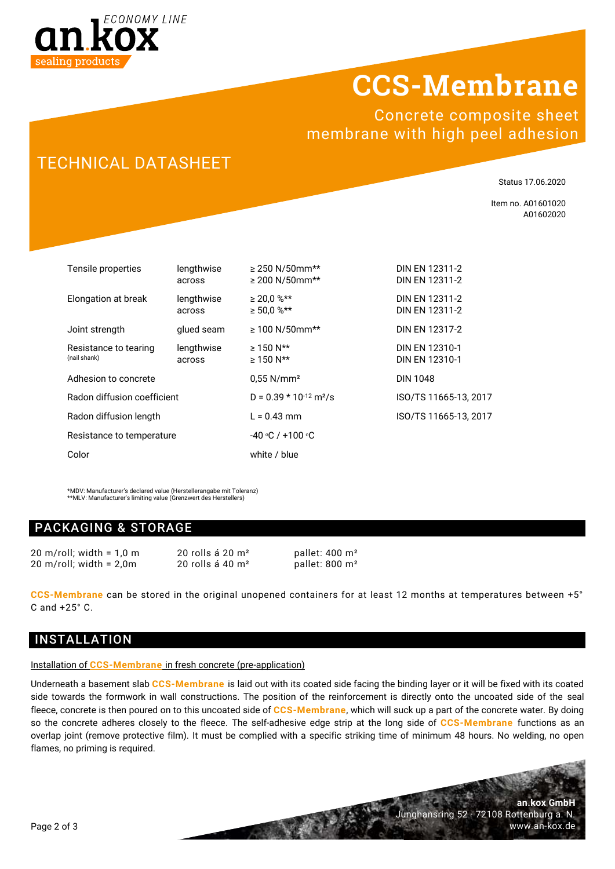

# **CCS-Membrane**

Concrete composite sheet membrane with high peel adhesion

## TECHNICAL DATASHEET

Status 17.06.2020

Item no. A01601020 A01602020

**an.kox GmbH**

www.an-kox.de

Junghansring 52 · 72108 Rottenburg a. N.

| Tensile properties                    | lengthwise<br>across | $\geq$ 250 N/50mm**<br>$\geq$ 200 N/50mm** | DIN EN 12311-2<br>DIN EN 12311-2 |  |
|---------------------------------------|----------------------|--------------------------------------------|----------------------------------|--|
| Elongation at break                   | lengthwise<br>across | $\geq 20.0$ %**<br>$\geq 50.0$ %**         | DIN EN 12311-2<br>DIN EN 12311-2 |  |
| Joint strength                        | glued seam           | $≥ 100 N/50mm**$                           | DIN EN 12317-2                   |  |
| Resistance to tearing<br>(nail shank) | lengthwise<br>across | $\geq 150$ N**<br>$\geq 150$ N**           | DIN EN 12310-1<br>DIN EN 12310-1 |  |
| Adhesion to concrete                  |                      | $0.55$ N/mm <sup>2</sup>                   | <b>DIN 1048</b>                  |  |
| Radon diffusion coefficient           |                      | $D = 0.39 * 10^{-12} m^2/s$                | ISO/TS 11665-13, 2017            |  |
| Radon diffusion length                |                      | $L = 0.43$ mm                              | ISO/TS 11665-13, 2017            |  |
| Resistance to temperature             |                      | $-40$ °C / +100 °C                         |                                  |  |
| Color                                 |                      | white / blue                               |                                  |  |

\*MDV: Manufacturer's declared value (Herstellerangabe mit Toleranz) \*\*MLV: Manufacturer's limiting value (Grenzwert des Herstellers)

### PACKAGING & STORAGE

20 m/roll: width =  $1.0 \text{ m}$  20 rolls á  $20 \text{ m}^2$  pallet:  $400 \text{ m}^2$ 20 m/roll; width =  $2.0$ m 20 rolls á 40 m<sup>2</sup> pallet: 800 m<sup>2</sup>

**CCS-Membrane** can be stored in the original unopened containers for at least 12 months at temperatures between +5° C and +25° C.

### INSTALLATION

#### Installation of **CCS-Membrane** in fresh concrete (pre-application)

Underneath a basement slab **CCS-Membrane** is laid out with its coated side facing the binding layer or it will be fixed with its coated side towards the formwork in wall constructions. The position of the reinforcement is directly onto the uncoated side of the seal fleece, concrete is then poured on to this uncoated side of **CCS-Membrane**, which will suck up a part of the concrete water. By doing so the concrete adheres closely to the fleece. The self-adhesive edge strip at the long side of **CCS-Membrane** functions as an overlap joint (remove protective film). It must be complied with a specific striking time of minimum 48 hours. No welding, no open flames, no priming is required.